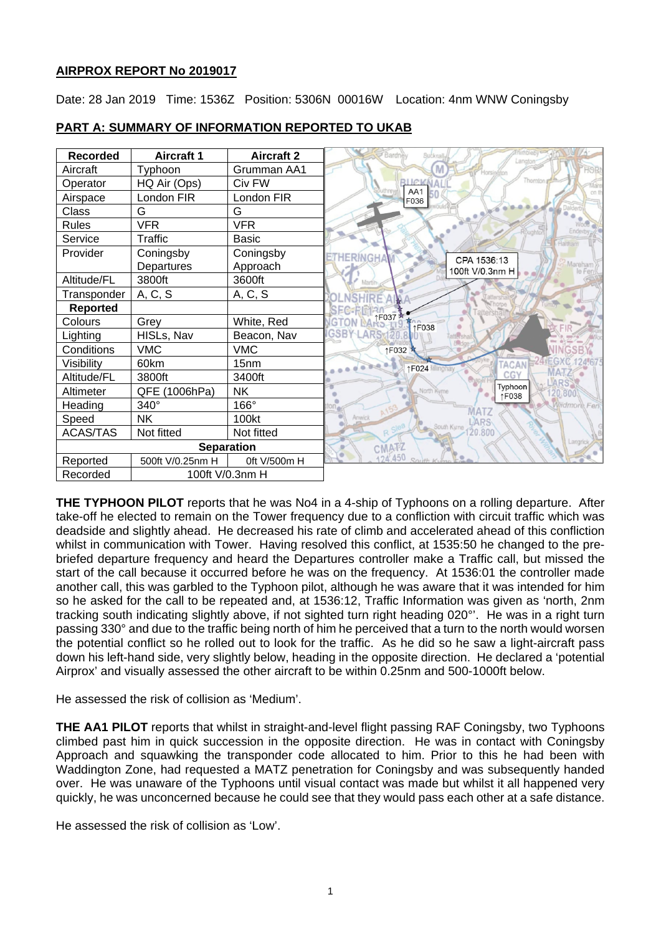## **AIRPROX REPORT No 2019017**

Date: 28 Jan 2019 Time: 1536Z Position: 5306N 00016W Location: 4nm WNW Coningsby

| <b>Recorded</b>   | <b>Aircraft 1</b> | <b>Aircraft 2</b> | Buckna<br>Bardn<br>Langton           |
|-------------------|-------------------|-------------------|--------------------------------------|
| Aircraft          | Typhoon           | Grumman AA1       | Horsington                           |
| Operator          | HQ Air (Ops)      | Civ FW            | UCKK<br>AA1                          |
| Airspace          | London FIR        | London FIR        | F036                                 |
| Class             | G                 | G                 |                                      |
| Rules             | <b>VFR</b>        | <b>VFR</b>        | <b><i><u><u>Guahta</u></u></i></b>   |
| Service           | Traffic           | <b>Basic</b>      |                                      |
| Provider          | Coningsby         | Coningsby         | <b>HERINGH</b><br>CPA 1536:13        |
|                   | Departures        | Approach          | 100ft V/0.3nm H                      |
| Altitude/FL       | 3800ft            | 3600ft            |                                      |
| Transponder       | A, C, S           | A, C, S           |                                      |
| <b>Reported</b>   |                   |                   |                                      |
| Colours           | Grey              | White, Red        | ↑F037<br><b>GTON</b><br><b>1F038</b> |
| Lighting          | HISLs, Nav        | Beacon, Nav       | <b>GSBY</b>                          |
| Conditions        | <b>VMC</b>        | <b>VMC</b>        | ↑F032                                |
| Visibility        | 60km              | 15 <sub>nm</sub>  | <b>ACAM</b><br>↑F024                 |
| Altitude/FL       | 3800ft            | 3400ft            | CG)                                  |
| Altimeter         | QFE (1006hPa)     | <b>NK</b>         | Typhoon<br>North Kyme<br>↑F038       |
| Heading           | 340°              | 166°              | MATZ                                 |
| Speed             | <b>NK</b>         | 100kt             | Anwick<br><b>ARS</b>                 |
| <b>ACAS/TAS</b>   | Not fitted        | Not fitted        | South Kyme<br>20.800                 |
| <b>Separation</b> |                   |                   | Langric<br><b>CMATZ</b>              |
| Reported          | 500ft V/0.25nm H  | 0ft V/500m H      | 124.450                              |
| Recorded          | 100ft V/0.3nm H   |                   |                                      |

# **PART A: SUMMARY OF INFORMATION REPORTED TO UKAB**

**THE TYPHOON PILOT** reports that he was No4 in a 4-ship of Typhoons on a rolling departure. After take-off he elected to remain on the Tower frequency due to a confliction with circuit traffic which was deadside and slightly ahead. He decreased his rate of climb and accelerated ahead of this confliction whilst in communication with Tower. Having resolved this conflict, at 1535:50 he changed to the prebriefed departure frequency and heard the Departures controller make a Traffic call, but missed the start of the call because it occurred before he was on the frequency. At 1536:01 the controller made another call, this was garbled to the Typhoon pilot, although he was aware that it was intended for him so he asked for the call to be repeated and, at 1536:12, Traffic Information was given as 'north, 2nm tracking south indicating slightly above, if not sighted turn right heading 020°'. He was in a right turn passing 330° and due to the traffic being north of him he perceived that a turn to the north would worsen the potential conflict so he rolled out to look for the traffic. As he did so he saw a light-aircraft pass down his left-hand side, very slightly below, heading in the opposite direction. He declared a 'potential Airprox' and visually assessed the other aircraft to be within 0.25nm and 500-1000ft below.

He assessed the risk of collision as 'Medium'.

**THE AA1 PILOT** reports that whilst in straight-and-level flight passing RAF Coningsby, two Typhoons climbed past him in quick succession in the opposite direction. He was in contact with Coningsby Approach and squawking the transponder code allocated to him. Prior to this he had been with Waddington Zone, had requested a MATZ penetration for Coningsby and was subsequently handed over. He was unaware of the Typhoons until visual contact was made but whilst it all happened very quickly, he was unconcerned because he could see that they would pass each other at a safe distance.

He assessed the risk of collision as 'Low'.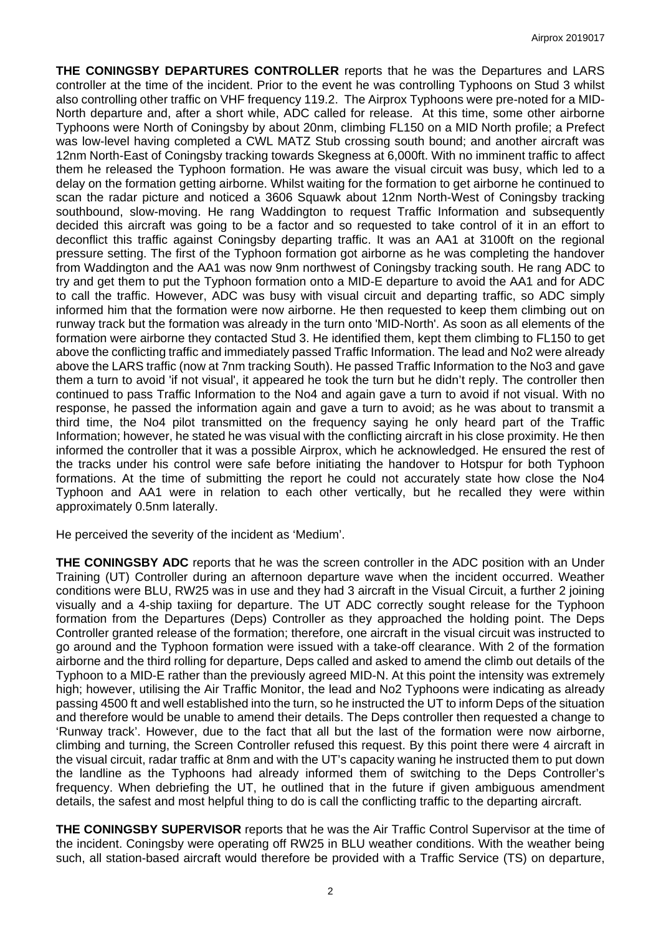**THE CONINGSBY DEPARTURES CONTROLLER** reports that he was the Departures and LARS controller at the time of the incident. Prior to the event he was controlling Typhoons on Stud 3 whilst also controlling other traffic on VHF frequency 119.2. The Airprox Typhoons were pre-noted for a MID-North departure and, after a short while, ADC called for release. At this time, some other airborne Typhoons were North of Coningsby by about 20nm, climbing FL150 on a MID North profile; a Prefect was low-level having completed a CWL MATZ Stub crossing south bound; and another aircraft was 12nm North-East of Coningsby tracking towards Skegness at 6,000ft. With no imminent traffic to affect them he released the Typhoon formation. He was aware the visual circuit was busy, which led to a delay on the formation getting airborne. Whilst waiting for the formation to get airborne he continued to scan the radar picture and noticed a 3606 Squawk about 12nm North-West of Coningsby tracking southbound, slow-moving. He rang Waddington to request Traffic Information and subsequently decided this aircraft was going to be a factor and so requested to take control of it in an effort to deconflict this traffic against Coningsby departing traffic. It was an AA1 at 3100ft on the regional pressure setting. The first of the Typhoon formation got airborne as he was completing the handover from Waddington and the AA1 was now 9nm northwest of Coningsby tracking south. He rang ADC to try and get them to put the Typhoon formation onto a MID-E departure to avoid the AA1 and for ADC to call the traffic. However, ADC was busy with visual circuit and departing traffic, so ADC simply informed him that the formation were now airborne. He then requested to keep them climbing out on runway track but the formation was already in the turn onto 'MID-North'. As soon as all elements of the formation were airborne they contacted Stud 3. He identified them, kept them climbing to FL150 to get above the conflicting traffic and immediately passed Traffic Information. The lead and No2 were already above the LARS traffic (now at 7nm tracking South). He passed Traffic Information to the No3 and gave them a turn to avoid 'if not visual', it appeared he took the turn but he didn't reply. The controller then continued to pass Traffic Information to the No4 and again gave a turn to avoid if not visual. With no response, he passed the information again and gave a turn to avoid; as he was about to transmit a third time, the No4 pilot transmitted on the frequency saying he only heard part of the Traffic Information; however, he stated he was visual with the conflicting aircraft in his close proximity. He then informed the controller that it was a possible Airprox, which he acknowledged. He ensured the rest of the tracks under his control were safe before initiating the handover to Hotspur for both Typhoon formations. At the time of submitting the report he could not accurately state how close the No4 Typhoon and AA1 were in relation to each other vertically, but he recalled they were within approximately 0.5nm laterally.

He perceived the severity of the incident as 'Medium'.

**THE CONINGSBY ADC** reports that he was the screen controller in the ADC position with an Under Training (UT) Controller during an afternoon departure wave when the incident occurred. Weather conditions were BLU, RW25 was in use and they had 3 aircraft in the Visual Circuit, a further 2 joining visually and a 4-ship taxiing for departure. The UT ADC correctly sought release for the Typhoon formation from the Departures (Deps) Controller as they approached the holding point. The Deps Controller granted release of the formation; therefore, one aircraft in the visual circuit was instructed to go around and the Typhoon formation were issued with a take-off clearance. With 2 of the formation airborne and the third rolling for departure, Deps called and asked to amend the climb out details of the Typhoon to a MID-E rather than the previously agreed MID-N. At this point the intensity was extremely high; however, utilising the Air Traffic Monitor, the lead and No2 Typhoons were indicating as already passing 4500 ft and well established into the turn, so he instructed the UT to inform Deps of the situation and therefore would be unable to amend their details. The Deps controller then requested a change to 'Runway track'. However, due to the fact that all but the last of the formation were now airborne, climbing and turning, the Screen Controller refused this request. By this point there were 4 aircraft in the visual circuit, radar traffic at 8nm and with the UT's capacity waning he instructed them to put down the landline as the Typhoons had already informed them of switching to the Deps Controller's frequency. When debriefing the UT, he outlined that in the future if given ambiguous amendment details, the safest and most helpful thing to do is call the conflicting traffic to the departing aircraft.

**THE CONINGSBY SUPERVISOR** reports that he was the Air Traffic Control Supervisor at the time of the incident. Coningsby were operating off RW25 in BLU weather conditions. With the weather being such, all station-based aircraft would therefore be provided with a Traffic Service (TS) on departure,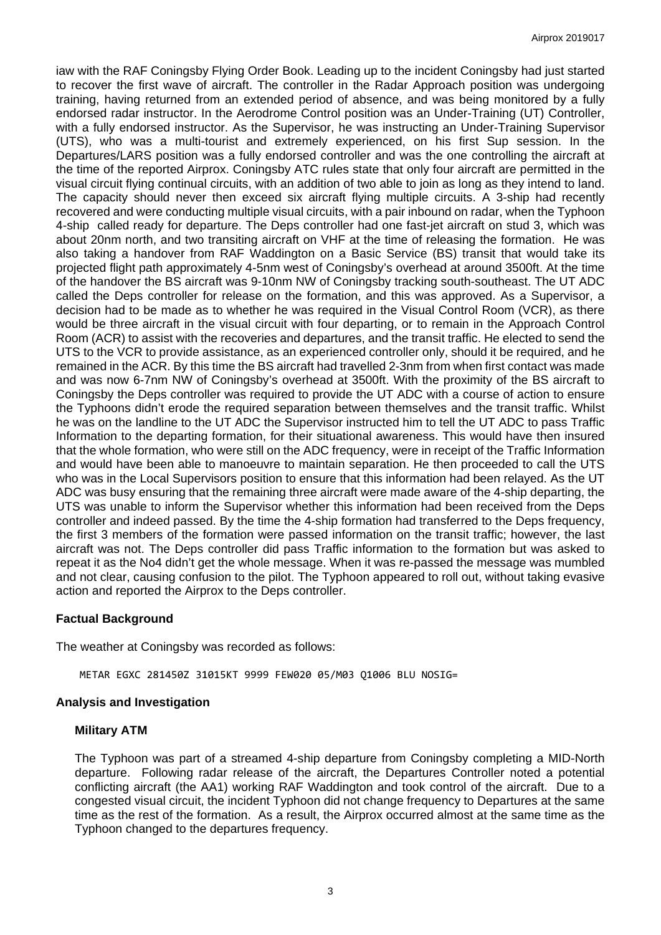iaw with the RAF Coningsby Flying Order Book. Leading up to the incident Coningsby had just started to recover the first wave of aircraft. The controller in the Radar Approach position was undergoing training, having returned from an extended period of absence, and was being monitored by a fully endorsed radar instructor. In the Aerodrome Control position was an Under-Training (UT) Controller, with a fully endorsed instructor. As the Supervisor, he was instructing an Under-Training Supervisor (UTS), who was a multi-tourist and extremely experienced, on his first Sup session. In the Departures/LARS position was a fully endorsed controller and was the one controlling the aircraft at the time of the reported Airprox. Coningsby ATC rules state that only four aircraft are permitted in the visual circuit flying continual circuits, with an addition of two able to join as long as they intend to land. The capacity should never then exceed six aircraft flying multiple circuits. A 3-ship had recently recovered and were conducting multiple visual circuits, with a pair inbound on radar, when the Typhoon 4-ship called ready for departure. The Deps controller had one fast-jet aircraft on stud 3, which was about 20nm north, and two transiting aircraft on VHF at the time of releasing the formation. He was also taking a handover from RAF Waddington on a Basic Service (BS) transit that would take its projected flight path approximately 4-5nm west of Coningsby's overhead at around 3500ft. At the time of the handover the BS aircraft was 9-10nm NW of Coningsby tracking south-southeast. The UT ADC called the Deps controller for release on the formation, and this was approved. As a Supervisor, a decision had to be made as to whether he was required in the Visual Control Room (VCR), as there would be three aircraft in the visual circuit with four departing, or to remain in the Approach Control Room (ACR) to assist with the recoveries and departures, and the transit traffic. He elected to send the UTS to the VCR to provide assistance, as an experienced controller only, should it be required, and he remained in the ACR. By this time the BS aircraft had travelled 2-3nm from when first contact was made and was now 6-7nm NW of Coningsby's overhead at 3500ft. With the proximity of the BS aircraft to Coningsby the Deps controller was required to provide the UT ADC with a course of action to ensure the Typhoons didn't erode the required separation between themselves and the transit traffic. Whilst he was on the landline to the UT ADC the Supervisor instructed him to tell the UT ADC to pass Traffic Information to the departing formation, for their situational awareness. This would have then insured that the whole formation, who were still on the ADC frequency, were in receipt of the Traffic Information and would have been able to manoeuvre to maintain separation. He then proceeded to call the UTS who was in the Local Supervisors position to ensure that this information had been relayed. As the UT ADC was busy ensuring that the remaining three aircraft were made aware of the 4-ship departing, the UTS was unable to inform the Supervisor whether this information had been received from the Deps controller and indeed passed. By the time the 4-ship formation had transferred to the Deps frequency, the first 3 members of the formation were passed information on the transit traffic; however, the last aircraft was not. The Deps controller did pass Traffic information to the formation but was asked to repeat it as the No4 didn't get the whole message. When it was re-passed the message was mumbled and not clear, causing confusion to the pilot. The Typhoon appeared to roll out, without taking evasive action and reported the Airprox to the Deps controller.

# **Factual Background**

The weather at Coningsby was recorded as follows:

METAR EGXC 281450Z 31015KT 9999 FEW020 05/M03 Q1006 BLU NOSIG=

### **Analysis and Investigation**

#### **Military ATM**

The Typhoon was part of a streamed 4-ship departure from Coningsby completing a MID-North departure. Following radar release of the aircraft, the Departures Controller noted a potential conflicting aircraft (the AA1) working RAF Waddington and took control of the aircraft. Due to a congested visual circuit, the incident Typhoon did not change frequency to Departures at the same time as the rest of the formation. As a result, the Airprox occurred almost at the same time as the Typhoon changed to the departures frequency.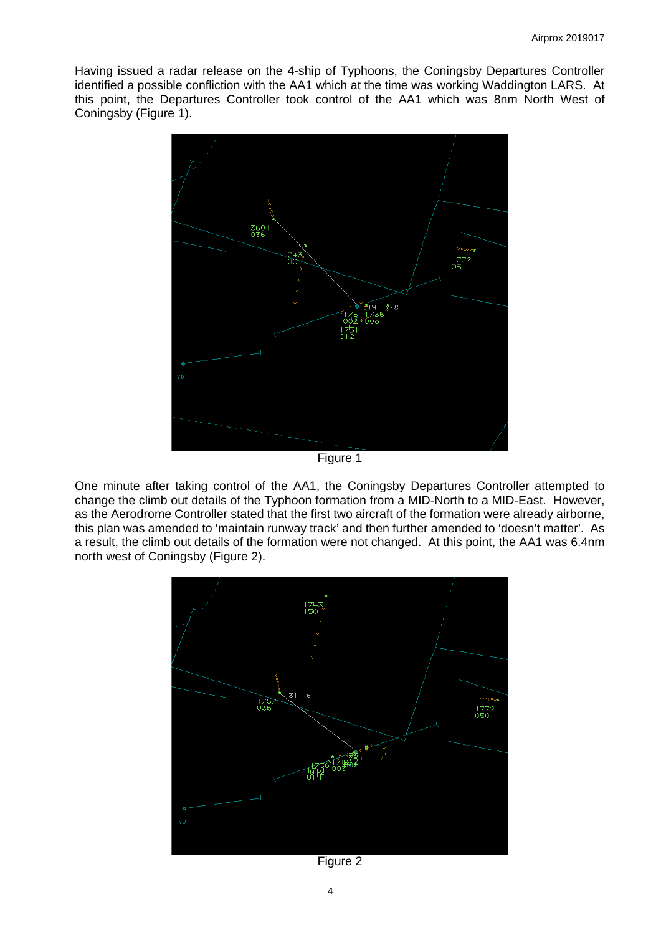Having issued a radar release on the 4-ship of Typhoons, the Coningsby Departures Controller identified a possible confliction with the AA1 which at the time was working Waddington LARS. At this point, the Departures Controller took control of the AA1 which was 8nm North West of Coningsby (Figure 1).



Figure 1

One minute after taking control of the AA1, the Coningsby Departures Controller attempted to change the climb out details of the Typhoon formation from a MID-North to a MID-East. However, as the Aerodrome Controller stated that the first two aircraft of the formation were already airborne, this plan was amended to 'maintain runway track' and then further amended to 'doesn't matter'. As a result, the climb out details of the formation were not changed. At this point, the AA1 was 6.4nm north west of Coningsby (Figure 2).



Figure 2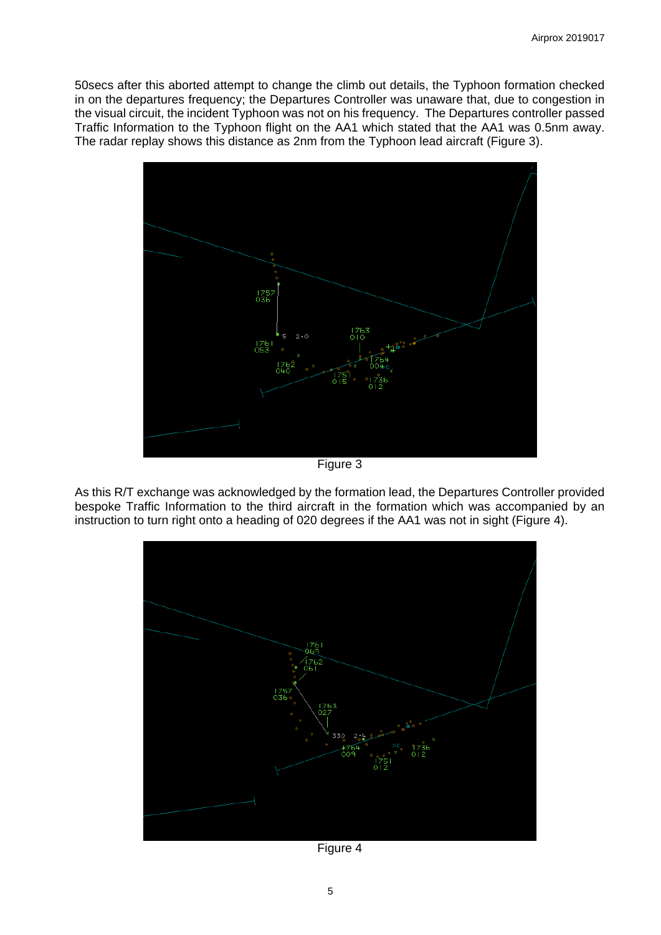50secs after this aborted attempt to change the climb out details, the Typhoon formation checked in on the departures frequency; the Departures Controller was unaware that, due to congestion in the visual circuit, the incident Typhoon was not on his frequency. The Departures controller passed Traffic Information to the Typhoon flight on the AA1 which stated that the AA1 was 0.5nm away. The radar replay shows this distance as 2nm from the Typhoon lead aircraft (Figure 3).



Figure 3

As this R/T exchange was acknowledged by the formation lead, the Departures Controller provided bespoke Traffic Information to the third aircraft in the formation which was accompanied by an instruction to turn right onto a heading of 020 degrees if the AA1 was not in sight (Figure 4).



Figure 4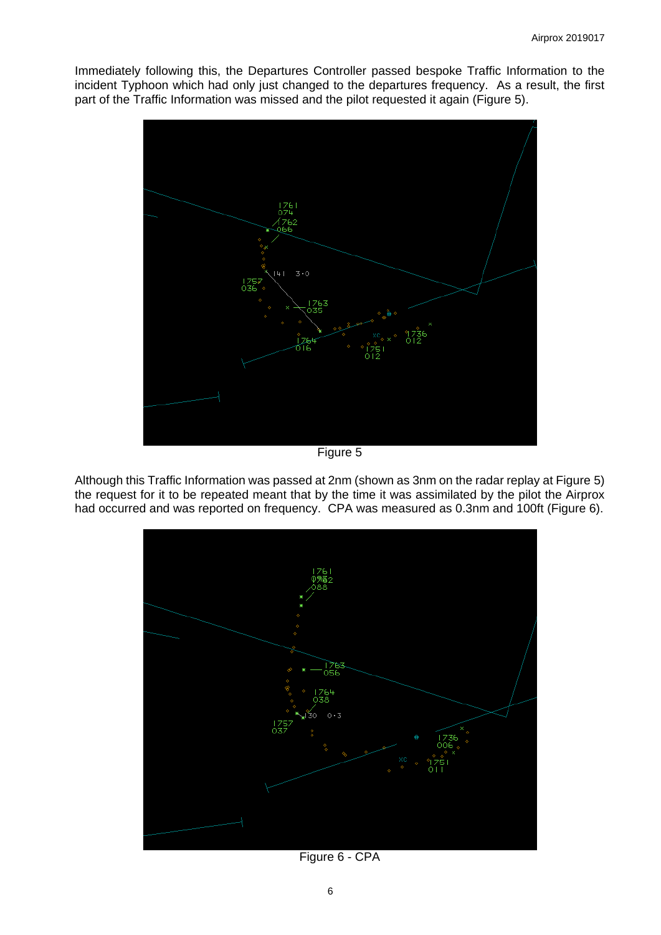Immediately following this, the Departures Controller passed bespoke Traffic Information to the incident Typhoon which had only just changed to the departures frequency. As a result, the first part of the Traffic Information was missed and the pilot requested it again (Figure 5).



Figure 5

Although this Traffic Information was passed at 2nm (shown as 3nm on the radar replay at Figure 5) the request for it to be repeated meant that by the time it was assimilated by the pilot the Airprox had occurred and was reported on frequency. CPA was measured as 0.3nm and 100ft (Figure 6).



Figure 6 - CPA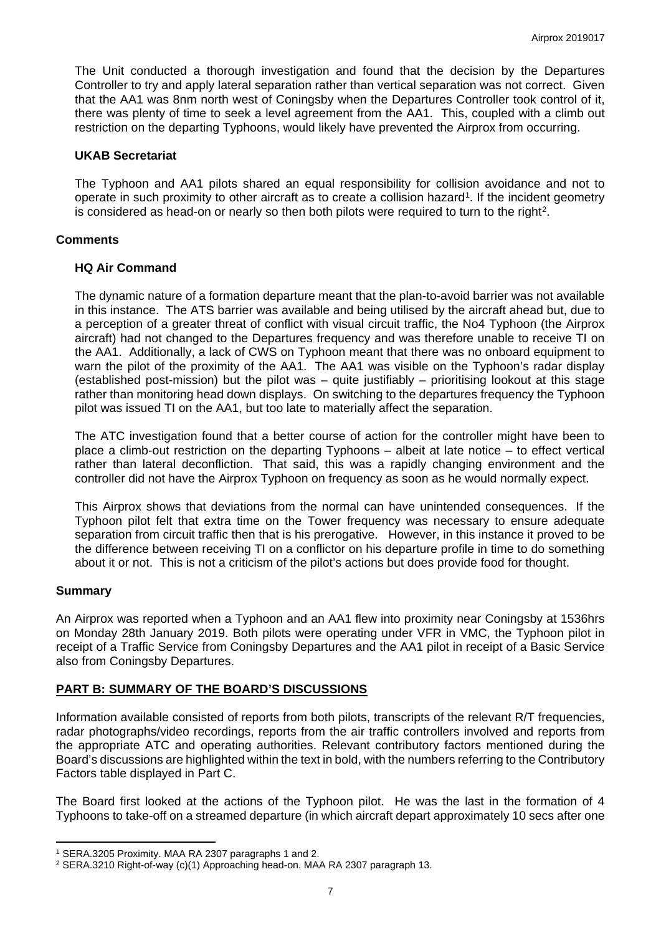The Unit conducted a thorough investigation and found that the decision by the Departures Controller to try and apply lateral separation rather than vertical separation was not correct. Given that the AA1 was 8nm north west of Coningsby when the Departures Controller took control of it, there was plenty of time to seek a level agreement from the AA1. This, coupled with a climb out restriction on the departing Typhoons, would likely have prevented the Airprox from occurring.

### **UKAB Secretariat**

The Typhoon and AA1 pilots shared an equal responsibility for collision avoidance and not to operate in such proximity to other aircraft as to create a collision hazard<sup>[1](#page-6-0)</sup>. If the incident geometry is considered as head-on or nearly so then both pilots were required to turn to the right<sup>[2](#page-6-1)</sup>.

## **Comments**

## **HQ Air Command**

The dynamic nature of a formation departure meant that the plan-to-avoid barrier was not available in this instance. The ATS barrier was available and being utilised by the aircraft ahead but, due to a perception of a greater threat of conflict with visual circuit traffic, the No4 Typhoon (the Airprox aircraft) had not changed to the Departures frequency and was therefore unable to receive TI on the AA1. Additionally, a lack of CWS on Typhoon meant that there was no onboard equipment to warn the pilot of the proximity of the AA1. The AA1 was visible on the Typhoon's radar display (established post-mission) but the pilot was – quite justifiably – prioritising lookout at this stage rather than monitoring head down displays. On switching to the departures frequency the Typhoon pilot was issued TI on the AA1, but too late to materially affect the separation.

The ATC investigation found that a better course of action for the controller might have been to place a climb-out restriction on the departing Typhoons – albeit at late notice – to effect vertical rather than lateral deconfliction. That said, this was a rapidly changing environment and the controller did not have the Airprox Typhoon on frequency as soon as he would normally expect.

This Airprox shows that deviations from the normal can have unintended consequences. If the Typhoon pilot felt that extra time on the Tower frequency was necessary to ensure adequate separation from circuit traffic then that is his prerogative. However, in this instance it proved to be the difference between receiving TI on a conflictor on his departure profile in time to do something about it or not. This is not a criticism of the pilot's actions but does provide food for thought.

# **Summary**

 $\overline{a}$ 

An Airprox was reported when a Typhoon and an AA1 flew into proximity near Coningsby at 1536hrs on Monday 28th January 2019. Both pilots were operating under VFR in VMC, the Typhoon pilot in receipt of a Traffic Service from Coningsby Departures and the AA1 pilot in receipt of a Basic Service also from Coningsby Departures.

# **PART B: SUMMARY OF THE BOARD'S DISCUSSIONS**

Information available consisted of reports from both pilots, transcripts of the relevant R/T frequencies, radar photographs/video recordings, reports from the air traffic controllers involved and reports from the appropriate ATC and operating authorities. Relevant contributory factors mentioned during the Board's discussions are highlighted within the text in bold, with the numbers referring to the Contributory Factors table displayed in Part C.

The Board first looked at the actions of the Typhoon pilot. He was the last in the formation of 4 Typhoons to take-off on a streamed departure (in which aircraft depart approximately 10 secs after one

<span id="page-6-0"></span><sup>1</sup> SERA.3205 Proximity. MAA RA 2307 paragraphs 1 and 2.

<span id="page-6-1"></span><sup>2</sup> SERA.3210 Right-of-way (c)(1) Approaching head-on. MAA RA 2307 paragraph 13.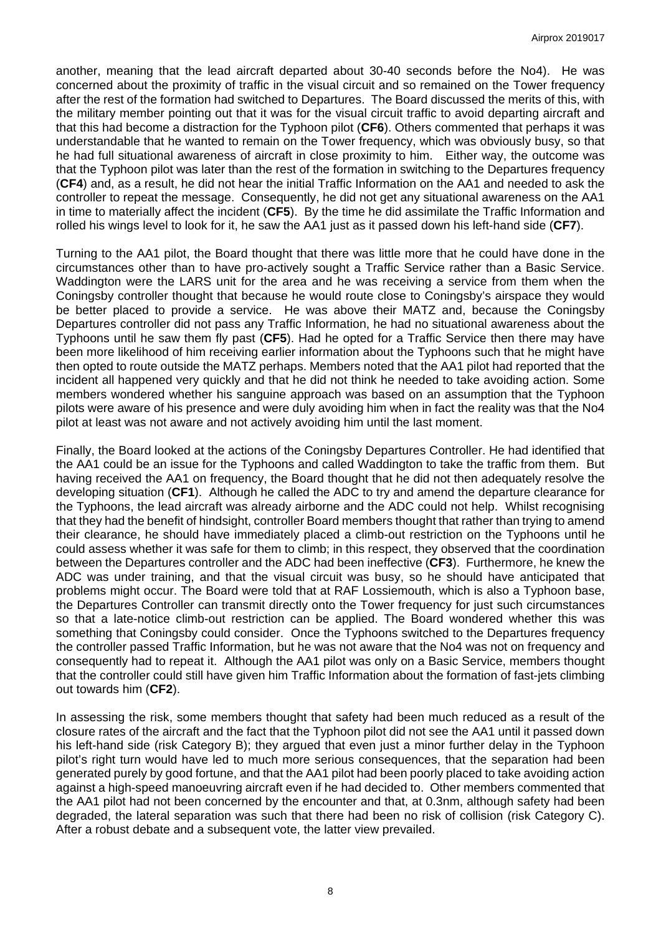another, meaning that the lead aircraft departed about 30-40 seconds before the No4). He was concerned about the proximity of traffic in the visual circuit and so remained on the Tower frequency after the rest of the formation had switched to Departures. The Board discussed the merits of this, with the military member pointing out that it was for the visual circuit traffic to avoid departing aircraft and that this had become a distraction for the Typhoon pilot (**CF6**). Others commented that perhaps it was understandable that he wanted to remain on the Tower frequency, which was obviously busy, so that he had full situational awareness of aircraft in close proximity to him. Either way, the outcome was that the Typhoon pilot was later than the rest of the formation in switching to the Departures frequency (**CF4**) and, as a result, he did not hear the initial Traffic Information on the AA1 and needed to ask the controller to repeat the message. Consequently, he did not get any situational awareness on the AA1 in time to materially affect the incident (**CF5**). By the time he did assimilate the Traffic Information and rolled his wings level to look for it, he saw the AA1 just as it passed down his left-hand side (**CF7**).

Turning to the AA1 pilot, the Board thought that there was little more that he could have done in the circumstances other than to have pro-actively sought a Traffic Service rather than a Basic Service. Waddington were the LARS unit for the area and he was receiving a service from them when the Coningsby controller thought that because he would route close to Coningsby's airspace they would be better placed to provide a service. He was above their MATZ and, because the Coningsby Departures controller did not pass any Traffic Information, he had no situational awareness about the Typhoons until he saw them fly past (**CF5**). Had he opted for a Traffic Service then there may have been more likelihood of him receiving earlier information about the Typhoons such that he might have then opted to route outside the MATZ perhaps. Members noted that the AA1 pilot had reported that the incident all happened very quickly and that he did not think he needed to take avoiding action. Some members wondered whether his sanguine approach was based on an assumption that the Typhoon pilots were aware of his presence and were duly avoiding him when in fact the reality was that the No4 pilot at least was not aware and not actively avoiding him until the last moment.

Finally, the Board looked at the actions of the Coningsby Departures Controller. He had identified that the AA1 could be an issue for the Typhoons and called Waddington to take the traffic from them. But having received the AA1 on frequency, the Board thought that he did not then adequately resolve the developing situation (**CF1**). Although he called the ADC to try and amend the departure clearance for the Typhoons, the lead aircraft was already airborne and the ADC could not help. Whilst recognising that they had the benefit of hindsight, controller Board members thought that rather than trying to amend their clearance, he should have immediately placed a climb-out restriction on the Typhoons until he could assess whether it was safe for them to climb; in this respect, they observed that the coordination between the Departures controller and the ADC had been ineffective (**CF3**). Furthermore, he knew the ADC was under training, and that the visual circuit was busy, so he should have anticipated that problems might occur. The Board were told that at RAF Lossiemouth, which is also a Typhoon base, the Departures Controller can transmit directly onto the Tower frequency for just such circumstances so that a late-notice climb-out restriction can be applied. The Board wondered whether this was something that Coningsby could consider. Once the Typhoons switched to the Departures frequency the controller passed Traffic Information, but he was not aware that the No4 was not on frequency and consequently had to repeat it. Although the AA1 pilot was only on a Basic Service, members thought that the controller could still have given him Traffic Information about the formation of fast-jets climbing out towards him (**CF2**).

In assessing the risk, some members thought that safety had been much reduced as a result of the closure rates of the aircraft and the fact that the Typhoon pilot did not see the AA1 until it passed down his left-hand side (risk Category B); they argued that even just a minor further delay in the Typhoon pilot's right turn would have led to much more serious consequences, that the separation had been generated purely by good fortune, and that the AA1 pilot had been poorly placed to take avoiding action against a high-speed manoeuvring aircraft even if he had decided to. Other members commented that the AA1 pilot had not been concerned by the encounter and that, at 0.3nm, although safety had been degraded, the lateral separation was such that there had been no risk of collision (risk Category C). After a robust debate and a subsequent vote, the latter view prevailed.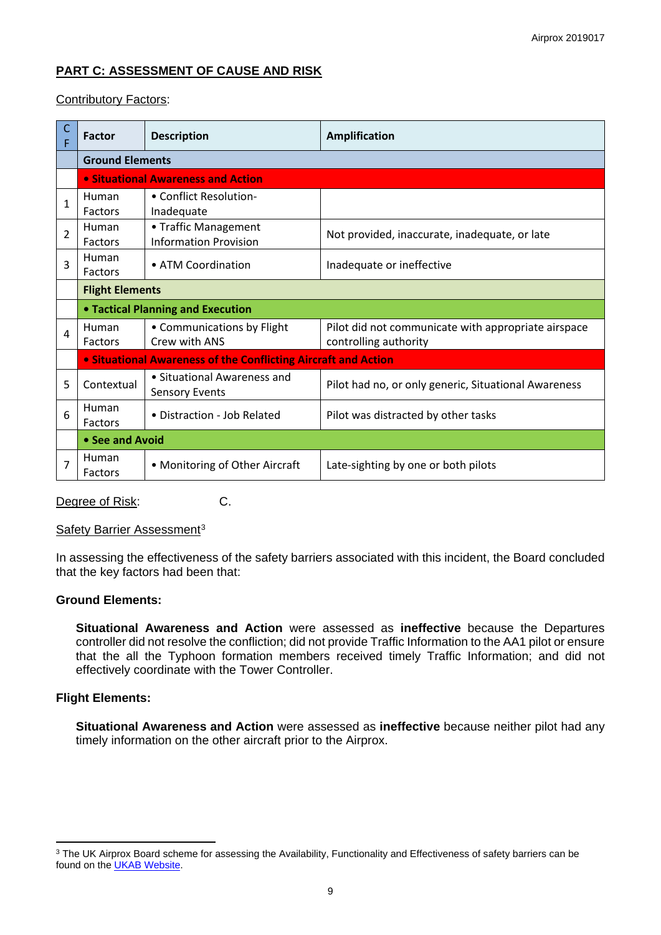# **PART C: ASSESSMENT OF CAUSE AND RISK**

## Contributory Factors:

|                | <b>Factor</b>                                                         | <b>Description</b>                                   | <b>Amplification</b>                                 |  |  |  |
|----------------|-----------------------------------------------------------------------|------------------------------------------------------|------------------------------------------------------|--|--|--|
|                | <b>Ground Elements</b>                                                |                                                      |                                                      |  |  |  |
|                |                                                                       | • Situational Awareness and Action                   |                                                      |  |  |  |
| 1              | Human                                                                 | • Conflict Resolution-                               |                                                      |  |  |  |
|                | Factors                                                               | Inadequate                                           |                                                      |  |  |  |
| $\overline{2}$ | Human                                                                 | • Traffic Management                                 | Not provided, inaccurate, inadequate, or late        |  |  |  |
|                | Factors                                                               | <b>Information Provision</b>                         |                                                      |  |  |  |
| 3              | Human                                                                 | • ATM Coordination                                   | Inadequate or ineffective                            |  |  |  |
|                | Factors                                                               |                                                      |                                                      |  |  |  |
|                | <b>Flight Elements</b>                                                |                                                      |                                                      |  |  |  |
|                | <b>• Tactical Planning and Execution</b>                              |                                                      |                                                      |  |  |  |
| 4              | Human                                                                 | • Communications by Flight                           | Pilot did not communicate with appropriate airspace  |  |  |  |
|                | Factors                                                               | Crew with ANS                                        | controlling authority                                |  |  |  |
|                | <b>• Situational Awareness of the Conflicting Aircraft and Action</b> |                                                      |                                                      |  |  |  |
| 5              | Contextual                                                            | • Situational Awareness and<br><b>Sensory Events</b> | Pilot had no, or only generic, Situational Awareness |  |  |  |
| 6              | Human                                                                 | • Distraction - Job Related                          |                                                      |  |  |  |
|                | Factors                                                               |                                                      | Pilot was distracted by other tasks                  |  |  |  |
|                | • See and Avoid                                                       |                                                      |                                                      |  |  |  |
| 7              | Human<br>Factors                                                      | • Monitoring of Other Aircraft                       | Late-sighting by one or both pilots                  |  |  |  |

Degree of Risk: C.

Safety Barrier Assessment<sup>[3](#page-8-0)</sup>

In assessing the effectiveness of the safety barriers associated with this incident, the Board concluded that the key factors had been that:

#### **Ground Elements:**

**Situational Awareness and Action** were assessed as **ineffective** because the Departures controller did not resolve the confliction; did not provide Traffic Information to the AA1 pilot or ensure that the all the Typhoon formation members received timely Traffic Information; and did not effectively coordinate with the Tower Controller.

#### **Flight Elements:**

 $\overline{a}$ 

**Situational Awareness and Action** were assessed as **ineffective** because neither pilot had any timely information on the other aircraft prior to the Airprox.

<span id="page-8-0"></span><sup>&</sup>lt;sup>3</sup> The UK Airprox Board scheme for assessing the Availability, Functionality and Effectiveness of safety barriers can be found on the [UKAB Website.](http://www.airproxboard.org.uk/Learn-more/Airprox-Barrier-Assessment/)